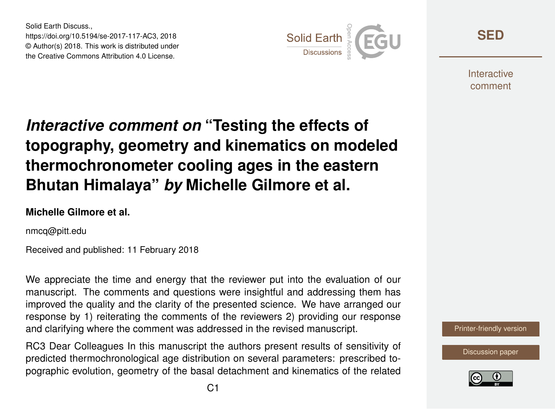Solid Earth Discuss., https://doi.org/10.5194/se-2017-117-AC3, 2018 © Author(s) 2018. This work is distributed under the Creative Commons Attribution 4.0 License.



**[SED](https://www.solid-earth-discuss.net/)**

**Interactive** comment

# *Interactive comment on* **"Testing the effects of topography, geometry and kinematics on modeled thermochronometer cooling ages in the eastern Bhutan Himalaya"** *by* **Michelle Gilmore et al.**

#### **Michelle Gilmore et al.**

nmcq@pitt.edu

Received and published: 11 February 2018

We appreciate the time and energy that the reviewer put into the evaluation of our manuscript. The comments and questions were insightful and addressing them has improved the quality and the clarity of the presented science. We have arranged our response by 1) reiterating the comments of the reviewers 2) providing our response and clarifying where the comment was addressed in the revised manuscript.

RC3 Dear Colleagues In this manuscript the authors present results of sensitivity of predicted thermochronological age distribution on several parameters: prescribed topographic evolution, geometry of the basal detachment and kinematics of the related



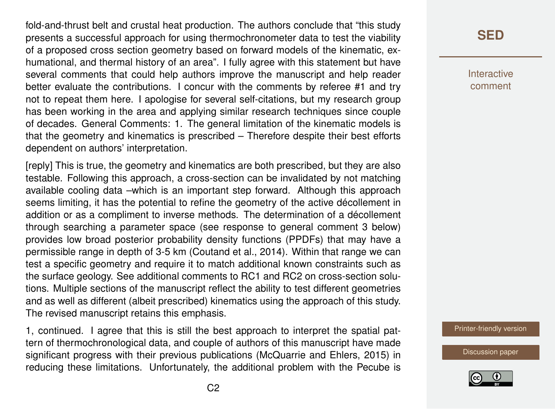fold-and-thrust belt and crustal heat production. The authors conclude that "this study presents a successful approach for using thermochronometer data to test the viability of a proposed cross section geometry based on forward models of the kinematic, exhumational, and thermal history of an area". I fully agree with this statement but have several comments that could help authors improve the manuscript and help reader better evaluate the contributions. I concur with the comments by referee #1 and try not to repeat them here. I apologise for several self-citations, but my research group has been working in the area and applying similar research techniques since couple of decades. General Comments: 1. The general limitation of the kinematic models is that the geometry and kinematics is prescribed – Therefore despite their best efforts dependent on authors' interpretation.

[reply] This is true, the geometry and kinematics are both prescribed, but they are also testable. Following this approach, a cross-section can be invalidated by not matching available cooling data –which is an important step forward. Although this approach seems limiting, it has the potential to refine the geometry of the active décollement in addition or as a compliment to inverse methods. The determination of a décollement through searching a parameter space (see response to general comment 3 below) provides low broad posterior probability density functions (PPDFs) that may have a permissible range in depth of 3-5 km (Coutand et al., 2014). Within that range we can test a specific geometry and require it to match additional known constraints such as the surface geology. See additional comments to RC1 and RC2 on cross-section solutions. Multiple sections of the manuscript reflect the ability to test different geometries and as well as different (albeit prescribed) kinematics using the approach of this study. The revised manuscript retains this emphasis.

1, continued. I agree that this is still the best approach to interpret the spatial pattern of thermochronological data, and couple of authors of this manuscript have made significant progress with their previous publications (McQuarrie and Ehlers, 2015) in reducing these limitations. Unfortunately, the additional problem with the Pecube is

### **[SED](https://www.solid-earth-discuss.net/)**

Interactive comment

[Printer-friendly version](https://www.solid-earth-discuss.net/se-2017-117/se-2017-117-AC3-print.pdf)

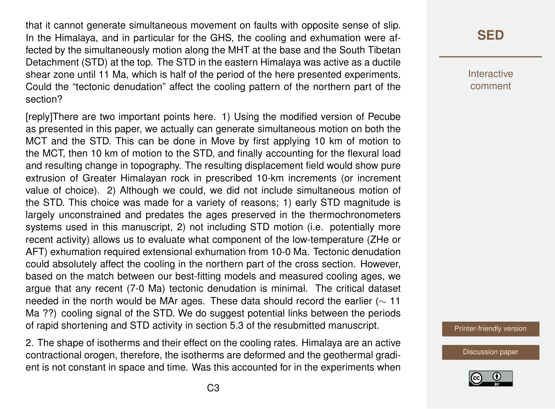that it cannot generate simultaneous movement on faults with opposite sense of slip. In the Himalaya, and in particular for the GHS, the cooling and exhumation were affected by the simultaneously motion along the MHT at the base and the South Tibetan Detachment (STD) at the top. The STD in the eastern Himalaya was active as a ductile shear zone until 11 Ma, which is half of the period of the here presented experiments. Could the "tectonic denudation" affect the cooling pattern of the northern part of the section?

[reply]There are two important points here. 1) Using the modified version of Pecube as presented in this paper, we actually can generate simultaneous motion on both the MCT and the STD. This can be done in Move by first applying 10 km of motion to the MCT, then 10 km of motion to the STD, and finally accounting for the flexural load and resulting change in topography. The resulting displacement field would show pure extrusion of Greater Himalayan rock in prescribed 10-km increments (or increment value of choice). 2) Although we could, we did not include simultaneous motion of the STD. This choice was made for a variety of reasons; 1) early STD magnitude is largely unconstrained and predates the ages preserved in the thermochronometers systems used in this manuscript, 2) not including STD motion (i.e. potentially more recent activity) allows us to evaluate what component of the low-temperature (ZHe or AFT) exhumation required extensional exhumation from 10-0 Ma. Tectonic denudation could absolutely affect the cooling in the northern part of the cross section. However, based on the match between our best-fitting models and measured cooling ages, we argue that any recent (7-0 Ma) tectonic denudation is minimal. The critical dataset needed in the north would be MAr ages. These data should record the earlier ( $\sim$  11 Ma ??) cooling signal of the STD. We do suggest potential links between the periods of rapid shortening and STD activity in section 5.3 of the resubmitted manuscript.

2. The shape of isotherms and their effect on the cooling rates. Himalaya are an active contractional orogen, therefore, the isotherms are deformed and the geothermal gradient is not constant in space and time. Was this accounted for in the experiments when

#### **[SED](https://www.solid-earth-discuss.net/)**

**Interactive** comment

[Printer-friendly version](https://www.solid-earth-discuss.net/se-2017-117/se-2017-117-AC3-print.pdf)

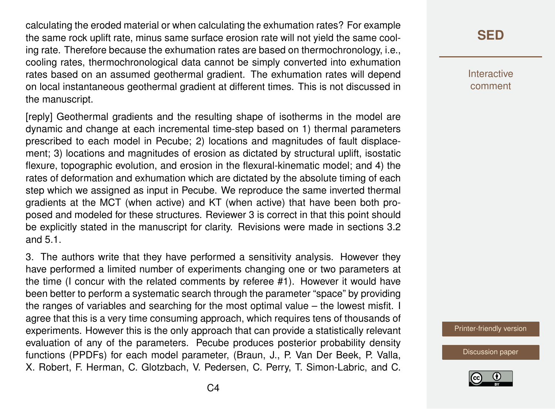calculating the eroded material or when calculating the exhumation rates? For example the same rock uplift rate, minus same surface erosion rate will not yield the same cooling rate. Therefore because the exhumation rates are based on thermochronology, i.e., cooling rates, thermochronological data cannot be simply converted into exhumation rates based on an assumed geothermal gradient. The exhumation rates will depend on local instantaneous geothermal gradient at different times. This is not discussed in the manuscript.

[reply] Geothermal gradients and the resulting shape of isotherms in the model are dynamic and change at each incremental time-step based on 1) thermal parameters prescribed to each model in Pecube; 2) locations and magnitudes of fault displacement; 3) locations and magnitudes of erosion as dictated by structural uplift, isostatic flexure, topographic evolution, and erosion in the flexural-kinematic model; and 4) the rates of deformation and exhumation which are dictated by the absolute timing of each step which we assigned as input in Pecube. We reproduce the same inverted thermal gradients at the MCT (when active) and KT (when active) that have been both proposed and modeled for these structures. Reviewer 3 is correct in that this point should be explicitly stated in the manuscript for clarity. Revisions were made in sections 3.2 and 5.1.

3. The authors write that they have performed a sensitivity analysis. However they have performed a limited number of experiments changing one or two parameters at the time (I concur with the related comments by referee #1). However it would have been better to perform a systematic search through the parameter "space" by providing the ranges of variables and searching for the most optimal value – the lowest misfit. I agree that this is a very time consuming approach, which requires tens of thousands of experiments. However this is the only approach that can provide a statistically relevant evaluation of any of the parameters. Pecube produces posterior probability density functions (PPDFs) for each model parameter, (Braun, J., P. Van Der Beek, P. Valla, X. Robert, F. Herman, C. Glotzbach, V. Pedersen, C. Perry, T. Simon-Labric, and C. Interactive comment

[Printer-friendly version](https://www.solid-earth-discuss.net/se-2017-117/se-2017-117-AC3-print.pdf)

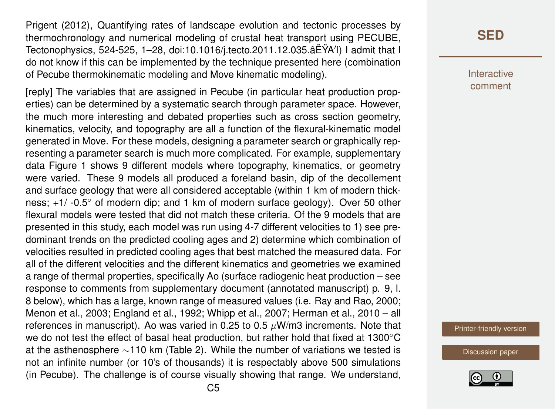Prigent (2012), Quantifying rates of landscape evolution and tectonic processes by thermochronology and numerical modeling of crustal heat transport using PECUBE, Tectonophysics, 524-525, 1–28, doi:10.1016/j.tecto.2011.12.035.âËŸA'l) I admit that I do not know if this can be implemented by the technique presented here (combination of Pecube thermokinematic modeling and Move kinematic modeling).

[reply] The variables that are assigned in Pecube (in particular heat production properties) can be determined by a systematic search through parameter space. However, the much more interesting and debated properties such as cross section geometry, kinematics, velocity, and topography are all a function of the flexural-kinematic model generated in Move. For these models, designing a parameter search or graphically representing a parameter search is much more complicated. For example, supplementary data Figure 1 shows 9 different models where topography, kinematics, or geometry were varied. These 9 models all produced a foreland basin, dip of the decollement and surface geology that were all considered acceptable (within 1 km of modern thickness; +1/ -0.5◦ of modern dip; and 1 km of modern surface geology). Over 50 other flexural models were tested that did not match these criteria. Of the 9 models that are presented in this study, each model was run using 4-7 different velocities to 1) see predominant trends on the predicted cooling ages and 2) determine which combination of velocities resulted in predicted cooling ages that best matched the measured data. For all of the different velocities and the different kinematics and geometries we examined a range of thermal properties, specifically Ao (surface radiogenic heat production – see response to comments from supplementary document (annotated manuscript) p. 9, l. 8 below), which has a large, known range of measured values (i.e. Ray and Rao, 2000; Menon et al., 2003; England et al., 1992; Whipp et al., 2007; Herman et al., 2010 – all references in manuscript). Ao was varied in 0.25 to 0.5  $\mu$ W/m3 increments. Note that we do not test the effect of basal heat production, but rather hold that fixed at 1300℃ at the asthenosphere ∼110 km (Table 2). While the number of variations we tested is not an infinite number (or 10's of thousands) it is respectably above 500 simulations (in Pecube). The challenge is of course visually showing that range. We understand,

#### **[SED](https://www.solid-earth-discuss.net/)**

Interactive comment

[Printer-friendly version](https://www.solid-earth-discuss.net/se-2017-117/se-2017-117-AC3-print.pdf)

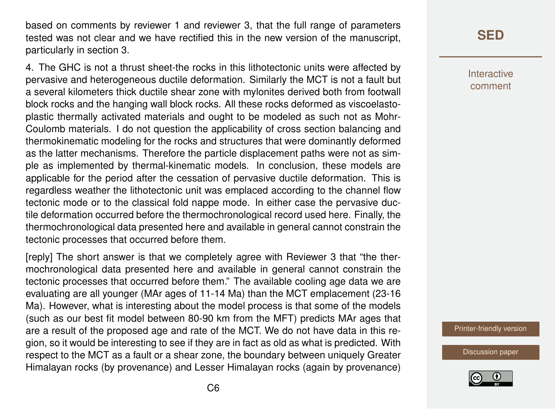based on comments by reviewer 1 and reviewer 3, that the full range of parameters tested was not clear and we have rectified this in the new version of the manuscript, particularly in section 3.

4. The GHC is not a thrust sheet-the rocks in this lithotectonic units were affected by pervasive and heterogeneous ductile deformation. Similarly the MCT is not a fault but a several kilometers thick ductile shear zone with mylonites derived both from footwall block rocks and the hanging wall block rocks. All these rocks deformed as viscoelastoplastic thermally activated materials and ought to be modeled as such not as Mohr-Coulomb materials. I do not question the applicability of cross section balancing and thermokinematic modeling for the rocks and structures that were dominantly deformed as the latter mechanisms. Therefore the particle displacement paths were not as simple as implemented by thermal-kinematic models. In conclusion, these models are applicable for the period after the cessation of pervasive ductile deformation. This is regardless weather the lithotectonic unit was emplaced according to the channel flow tectonic mode or to the classical fold nappe mode. In either case the pervasive ductile deformation occurred before the thermochronological record used here. Finally, the thermochronological data presented here and available in general cannot constrain the tectonic processes that occurred before them.

[reply] The short answer is that we completely agree with Reviewer 3 that "the thermochronological data presented here and available in general cannot constrain the tectonic processes that occurred before them." The available cooling age data we are evaluating are all younger (MAr ages of 11-14 Ma) than the MCT emplacement (23-16 Ma). However, what is interesting about the model process is that some of the models (such as our best fit model between 80-90 km from the MFT) predicts MAr ages that are a result of the proposed age and rate of the MCT. We do not have data in this region, so it would be interesting to see if they are in fact as old as what is predicted. With respect to the MCT as a fault or a shear zone, the boundary between uniquely Greater Himalayan rocks (by provenance) and Lesser Himalayan rocks (again by provenance) Interactive comment

[Printer-friendly version](https://www.solid-earth-discuss.net/se-2017-117/se-2017-117-AC3-print.pdf)

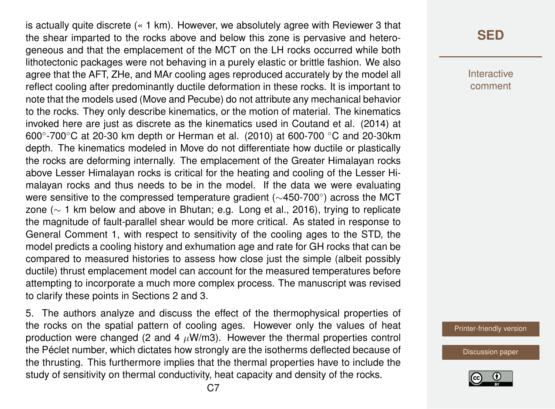is actually quite discrete (« 1 km). However, we absolutely agree with Reviewer 3 that the shear imparted to the rocks above and below this zone is pervasive and heterogeneous and that the emplacement of the MCT on the LH rocks occurred while both lithotectonic packages were not behaving in a purely elastic or brittle fashion. We also agree that the AFT, ZHe, and MAr cooling ages reproduced accurately by the model all reflect cooling after predominantly ductile deformation in these rocks. It is important to note that the models used (Move and Pecube) do not attribute any mechanical behavior to the rocks. They only describe kinematics, or the motion of material. The kinematics invoked here are just as discrete as the kinematics used in Coutand et al. (2014) at 600°-700°C at 20-30 km depth or Herman et al. (2010) at 600-700 °C and 20-30km depth. The kinematics modeled in Move do not differentiate how ductile or plastically the rocks are deforming internally. The emplacement of the Greater Himalayan rocks above Lesser Himalayan rocks is critical for the heating and cooling of the Lesser Himalayan rocks and thus needs to be in the model. If the data we were evaluating were sensitive to the compressed temperature gradient ( $\sim$ 450-700°) across the MCT zone (∼ 1 km below and above in Bhutan; e.g. Long et al., 2016), trying to replicate the magnitude of fault-parallel shear would be more critical. As stated in response to General Comment 1, with respect to sensitivity of the cooling ages to the STD, the model predicts a cooling history and exhumation age and rate for GH rocks that can be compared to measured histories to assess how close just the simple (albeit possibly ductile) thrust emplacement model can account for the measured temperatures before attempting to incorporate a much more complex process. The manuscript was revised to clarify these points in Sections 2 and 3.

5. The authors analyze and discuss the effect of the thermophysical properties of the rocks on the spatial pattern of cooling ages. However only the values of heat production were changed (2 and 4  $\mu$ W/m3). However the thermal properties control the Péclet number, which dictates how strongly are the isotherms deflected because of the thrusting. This furthermore implies that the thermal properties have to include the study of sensitivity on thermal conductivity, heat capacity and density of the rocks.

### **[SED](https://www.solid-earth-discuss.net/)**

Interactive comment

[Printer-friendly version](https://www.solid-earth-discuss.net/se-2017-117/se-2017-117-AC3-print.pdf)

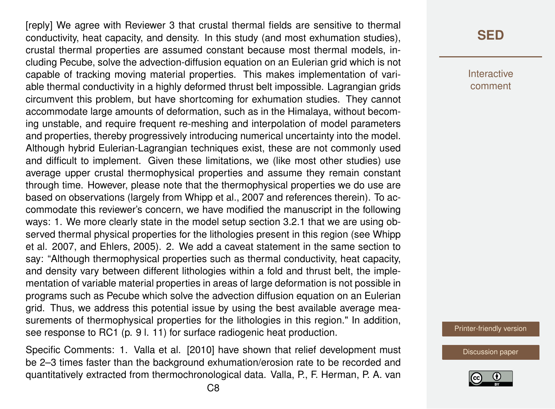[reply] We agree with Reviewer 3 that crustal thermal fields are sensitive to thermal conductivity, heat capacity, and density. In this study (and most exhumation studies), crustal thermal properties are assumed constant because most thermal models, including Pecube, solve the advection-diffusion equation on an Eulerian grid which is not capable of tracking moving material properties. This makes implementation of variable thermal conductivity in a highly deformed thrust belt impossible. Lagrangian grids circumvent this problem, but have shortcoming for exhumation studies. They cannot accommodate large amounts of deformation, such as in the Himalaya, without becoming unstable, and require frequent re-meshing and interpolation of model parameters and properties, thereby progressively introducing numerical uncertainty into the model. Although hybrid Eulerian-Lagrangian techniques exist, these are not commonly used and difficult to implement. Given these limitations, we (like most other studies) use average upper crustal thermophysical properties and assume they remain constant through time. However, please note that the thermophysical properties we do use are based on observations (largely from Whipp et al., 2007 and references therein). To accommodate this reviewer's concern, we have modified the manuscript in the following ways: 1. We more clearly state in the model setup section 3.2.1 that we are using observed thermal physical properties for the lithologies present in this region (see Whipp et al. 2007, and Ehlers, 2005). 2. We add a caveat statement in the same section to say: "Although thermophysical properties such as thermal conductivity, heat capacity, and density vary between different lithologies within a fold and thrust belt, the implementation of variable material properties in areas of large deformation is not possible in programs such as Pecube which solve the advection diffusion equation on an Eulerian grid. Thus, we address this potential issue by using the best available average measurements of thermophysical properties for the lithologies in this region." In addition, see response to RC1 (p. 9 l. 11) for surface radiogenic heat production.

Specific Comments: 1. Valla et al. [2010] have shown that relief development must be 2–3 times faster than the background exhumation/erosion rate to be recorded and quantitatively extracted from thermochronological data. Valla, P., F. Herman, P. A. van

#### **[SED](https://www.solid-earth-discuss.net/)**

Interactive comment

[Printer-friendly version](https://www.solid-earth-discuss.net/se-2017-117/se-2017-117-AC3-print.pdf)

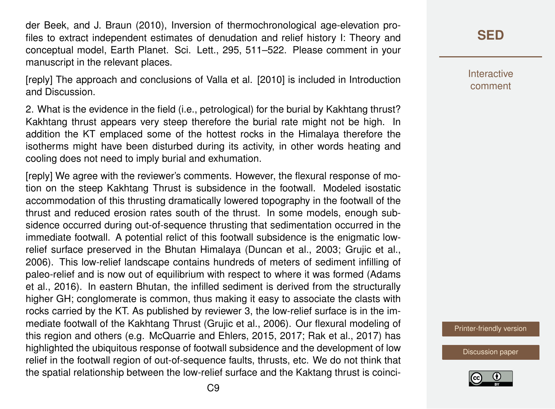der Beek, and J. Braun (2010), Inversion of thermochronological age-elevation profiles to extract independent estimates of denudation and relief history I: Theory and conceptual model, Earth Planet. Sci. Lett., 295, 511–522. Please comment in your manuscript in the relevant places.

[reply] The approach and conclusions of Valla et al. [2010] is included in Introduction and Discussion.

2. What is the evidence in the field (i.e., petrological) for the burial by Kakhtang thrust? Kakhtang thrust appears very steep therefore the burial rate might not be high. In addition the KT emplaced some of the hottest rocks in the Himalaya therefore the isotherms might have been disturbed during its activity, in other words heating and cooling does not need to imply burial and exhumation.

[reply] We agree with the reviewer's comments. However, the flexural response of motion on the steep Kakhtang Thrust is subsidence in the footwall. Modeled isostatic accommodation of this thrusting dramatically lowered topography in the footwall of the thrust and reduced erosion rates south of the thrust. In some models, enough subsidence occurred during out-of-sequence thrusting that sedimentation occurred in the immediate footwall. A potential relict of this footwall subsidence is the enigmatic lowrelief surface preserved in the Bhutan Himalaya (Duncan et al., 2003; Grujic et al., 2006). This low-relief landscape contains hundreds of meters of sediment infilling of paleo-relief and is now out of equilibrium with respect to where it was formed (Adams et al., 2016). In eastern Bhutan, the infilled sediment is derived from the structurally higher GH; conglomerate is common, thus making it easy to associate the clasts with rocks carried by the KT. As published by reviewer 3, the low-relief surface is in the immediate footwall of the Kakhtang Thrust (Grujic et al., 2006). Our flexural modeling of this region and others (e.g. McQuarrie and Ehlers, 2015, 2017; Rak et al., 2017) has highlighted the ubiquitous response of footwall subsidence and the development of low relief in the footwall region of out-of-sequence faults, thrusts, etc. We do not think that the spatial relationship between the low-relief surface and the Kaktang thrust is coinci**[SED](https://www.solid-earth-discuss.net/)**

**Interactive** comment

[Printer-friendly version](https://www.solid-earth-discuss.net/se-2017-117/se-2017-117-AC3-print.pdf)

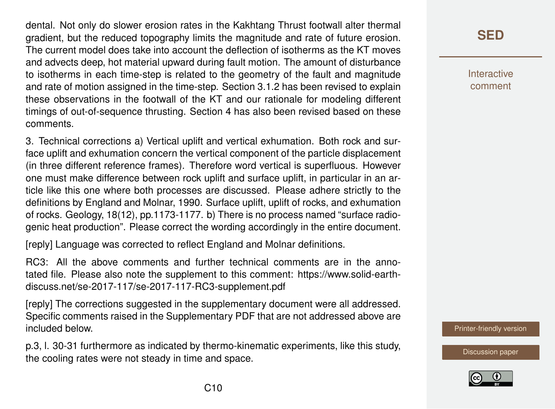dental. Not only do slower erosion rates in the Kakhtang Thrust footwall alter thermal gradient, but the reduced topography limits the magnitude and rate of future erosion. The current model does take into account the deflection of isotherms as the KT moves and advects deep, hot material upward during fault motion. The amount of disturbance to isotherms in each time-step is related to the geometry of the fault and magnitude and rate of motion assigned in the time-step. Section 3.1.2 has been revised to explain these observations in the footwall of the KT and our rationale for modeling different timings of out-of-sequence thrusting. Section 4 has also been revised based on these comments.

3. Technical corrections a) Vertical uplift and vertical exhumation. Both rock and surface uplift and exhumation concern the vertical component of the particle displacement (in three different reference frames). Therefore word vertical is superfluous. However one must make difference between rock uplift and surface uplift, in particular in an article like this one where both processes are discussed. Please adhere strictly to the definitions by England and Molnar, 1990. Surface uplift, uplift of rocks, and exhumation of rocks. Geology, 18(12), pp.1173-1177. b) There is no process named "surface radiogenic heat production". Please correct the wording accordingly in the entire document.

[reply] Language was corrected to reflect England and Molnar definitions.

RC3: All the above comments and further technical comments are in the annotated file. Please also note the supplement to this comment: https://www.solid-earthdiscuss.net/se-2017-117/se-2017-117-RC3-supplement.pdf

[reply] The corrections suggested in the supplementary document were all addressed. Specific comments raised in the Supplementary PDF that are not addressed above are included below.

p.3, l. 30-31 furthermore as indicated by thermo-kinematic experiments, like this study, the cooling rates were not steady in time and space.

**[SED](https://www.solid-earth-discuss.net/)**

**Interactive** comment

[Printer-friendly version](https://www.solid-earth-discuss.net/se-2017-117/se-2017-117-AC3-print.pdf)

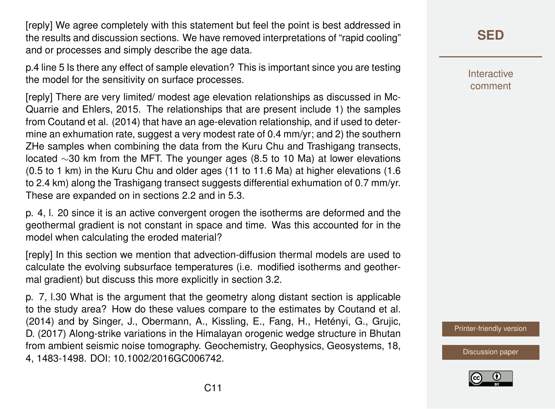[reply] We agree completely with this statement but feel the point is best addressed in the results and discussion sections. We have removed interpretations of "rapid cooling" and or processes and simply describe the age data.

p.4 line 5 Is there any effect of sample elevation? This is important since you are testing the model for the sensitivity on surface processes.

[reply] There are very limited/ modest age elevation relationships as discussed in Mc-Quarrie and Ehlers, 2015. The relationships that are present include 1) the samples from Coutand et al. (2014) that have an age-elevation relationship, and if used to determine an exhumation rate, suggest a very modest rate of 0.4 mm/yr; and 2) the southern ZHe samples when combining the data from the Kuru Chu and Trashigang transects, located ∼30 km from the MFT. The younger ages (8.5 to 10 Ma) at lower elevations (0.5 to 1 km) in the Kuru Chu and older ages (11 to 11.6 Ma) at higher elevations (1.6 to 2.4 km) along the Trashigang transect suggests differential exhumation of 0.7 mm/yr. These are expanded on in sections 2.2 and in 5.3.

p. 4, l. 20 since it is an active convergent orogen the isotherms are deformed and the geothermal gradient is not constant in space and time. Was this accounted for in the model when calculating the eroded material?

[reply] In this section we mention that advection-diffusion thermal models are used to calculate the evolving subsurface temperatures (i.e. modified isotherms and geothermal gradient) but discuss this more explicitly in section 3.2.

p. 7, l.30 What is the argument that the geometry along distant section is applicable to the study area? How do these values compare to the estimates by Coutand et al. (2014) and by Singer, J., Obermann, A., Kissling, E., Fang, H., Hetényi, G., Grujic, D. (2017) Along-strike variations in the Himalayan orogenic wedge structure in Bhutan from ambient seismic noise tomography. Geochemistry, Geophysics, Geosystems, 18, 4, 1483-1498. DOI: 10.1002/2016GC006742.

**[SED](https://www.solid-earth-discuss.net/)**

Interactive comment

[Printer-friendly version](https://www.solid-earth-discuss.net/se-2017-117/se-2017-117-AC3-print.pdf)

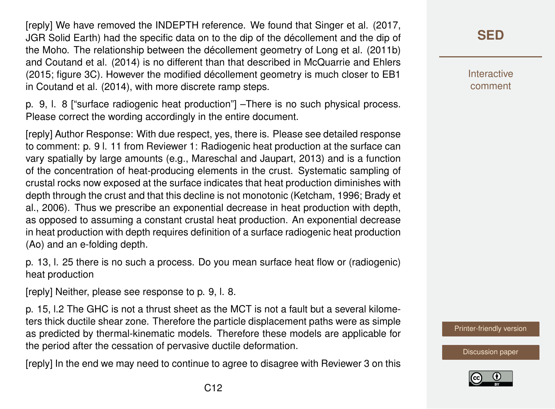[reply] We have removed the INDEPTH reference. We found that Singer et al. (2017, JGR Solid Earth) had the specific data on to the dip of the décollement and the dip of the Moho. The relationship between the décollement geometry of Long et al. (2011b) and Coutand et al. (2014) is no different than that described in McQuarrie and Ehlers (2015; figure 3C). However the modified décollement geometry is much closer to EB1 in Coutand et al. (2014), with more discrete ramp steps.

p. 9, l. 8 ["surface radiogenic heat production"] –There is no such physical process. Please correct the wording accordingly in the entire document.

[reply] Author Response: With due respect, yes, there is. Please see detailed response to comment: p. 9 l. 11 from Reviewer 1: Radiogenic heat production at the surface can vary spatially by large amounts (e.g., Mareschal and Jaupart, 2013) and is a function of the concentration of heat-producing elements in the crust. Systematic sampling of crustal rocks now exposed at the surface indicates that heat production diminishes with depth through the crust and that this decline is not monotonic (Ketcham, 1996; Brady et al., 2006). Thus we prescribe an exponential decrease in heat production with depth, as opposed to assuming a constant crustal heat production. An exponential decrease in heat production with depth requires definition of a surface radiogenic heat production (Ao) and an e-folding depth.

p. 13, l. 25 there is no such a process. Do you mean surface heat flow or (radiogenic) heat production

[reply] Neither, please see response to p. 9, l. 8.

p. 15, l.2 The GHC is not a thrust sheet as the MCT is not a fault but a several kilometers thick ductile shear zone. Therefore the particle displacement paths were as simple as predicted by thermal-kinematic models. Therefore these models are applicable for the period after the cessation of pervasive ductile deformation.

[reply] In the end we may need to continue to agree to disagree with Reviewer 3 on this

## **[SED](https://www.solid-earth-discuss.net/)**

**Interactive** comment

[Printer-friendly version](https://www.solid-earth-discuss.net/se-2017-117/se-2017-117-AC3-print.pdf)

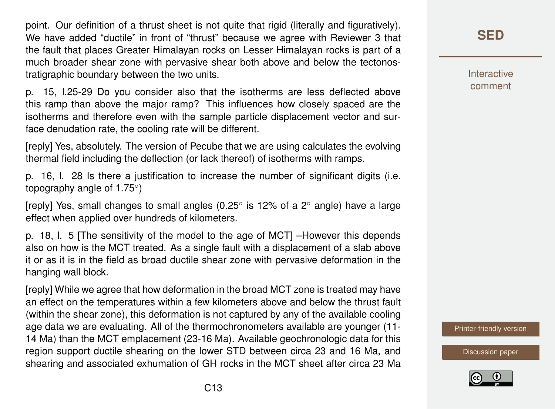point. Our definition of a thrust sheet is not quite that rigid (literally and figuratively). We have added "ductile" in front of "thrust" because we agree with Reviewer 3 that the fault that places Greater Himalayan rocks on Lesser Himalayan rocks is part of a much broader shear zone with pervasive shear both above and below the tectonostratigraphic boundary between the two units.

p. 15, l.25-29 Do you consider also that the isotherms are less deflected above this ramp than above the major ramp? This influences how closely spaced are the isotherms and therefore even with the sample particle displacement vector and surface denudation rate, the cooling rate will be different.

[reply] Yes, absolutely. The version of Pecube that we are using calculates the evolving thermal field including the deflection (or lack thereof) of isotherms with ramps.

p. 16, l. 28 Is there a justification to increase the number of significant digits (i.e. topography angle of 1.75°)

[reply] Yes, small changes to small angles (0.25° is 12% of a 2° angle) have a large effect when applied over hundreds of kilometers.

p. 18, l. 5 [The sensitivity of the model to the age of MCT] –However this depends also on how is the MCT treated. As a single fault with a displacement of a slab above it or as it is in the field as broad ductile shear zone with pervasive deformation in the hanging wall block.

[reply] While we agree that how deformation in the broad MCT zone is treated may have an effect on the temperatures within a few kilometers above and below the thrust fault (within the shear zone), this deformation is not captured by any of the available cooling age data we are evaluating. All of the thermochronometers available are younger (11- 14 Ma) than the MCT emplacement (23-16 Ma). Available geochronologic data for this region support ductile shearing on the lower STD between circa 23 and 16 Ma, and shearing and associated exhumation of GH rocks in the MCT sheet after circa 23 Ma **[SED](https://www.solid-earth-discuss.net/)**

Interactive comment

[Printer-friendly version](https://www.solid-earth-discuss.net/se-2017-117/se-2017-117-AC3-print.pdf)